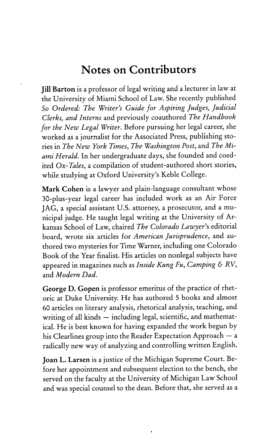## **Notes on Contributors**

**Jill Barton** is a professor of legal writing and a lecturer in law at the University of Miami School of Law. She recently published *So Ordered: The Writer's Guide for Aspiring Judges, judicial Clerks, and Interns* and previously coauthored *The Handbook for the New Legal Writer.* Before pursuing her legal career, she worked as a journalist for the Associated Press, publishing stories in *The New York Times, The Washington Post, and The Miami Herald.* In her undergraduate days, she founded and coed*ited Ox-Tales,* a compilation of student-authored short stories, while studying at Oxford University's Keble College.

Mark Cohen is a lawyer and plain-language consultant whose 30-plus-year legal career has included work as an Air Force **JAG,** a special assistant **U.S.** attorney, a prosecutor, and a municipal judge. He taught legal writing at the University of Arkansas School of Law, chaired *The Colorado Lawyer's* editorial board, wrote six articles for *American jurisprudence,* and authored two mysteries for Time Warner, including one Colorado Book of the Year finalist. His articles on nonlegal subjects have appeared in magazines such as *Inside Kung Fu, Camping & RV,* and *Modern Dad.*

George **D.** Gopen is professor emeritus of the practice of rhetoric at Duke University. He has authored **5** books and almost **60** articles on literary analysis, rhetorical analysis, teaching, and writing of all kinds **-** including legal, scientific, and mathematical. He is best known for having expanded the work begun **by** his Clearlines group into the Reader Expectation Approach **-** a radically new way of analyzing and controlling written English.

Joan L. Larsen is a justice of the Michigan Supreme Court. Before her appointment and subsequent election to the bench, she served on the faculty at the University of Michigan Law School and was special counsel to the dean. Before that, she served as a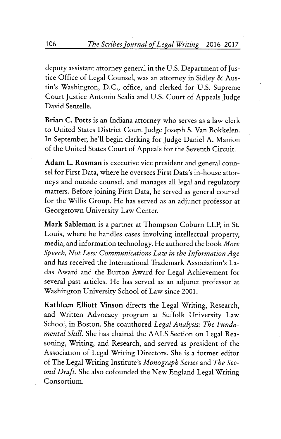deputy assistant attorney general in the **U.S.** Department of Justice Office of Legal Counsel, was an attorney in Sidley **&** Austin's Washington, **D.C.,** office, and clerked for **U.S.** Supreme Court Justice Antonin Scalia and **U.S.** Court of Appeals Judge David Sentelle.

**Brian C. Potts** is an Indiana attorney who serves as a law clerk to United States District Court Judge Joseph **S.** Van Bokkelen. In September, he'll begin clerking for Judge Daniel **A.** Manion of the United States Court of Appeals for the Seventh Circuit.

**Adam L. Rosman** is executive vice president and general counsel for First Data, where he oversees First Data's in-house attorneys and outside counsel, and manages all legal and regulatory matters. Before joining First Data, he served as general counsel for the Willis Group. He has served as an adjunct professor at Georgetown University Law Center.

Mark Sableman is a partner at Thompson Coburn LLP, in St. Louis, where he handles cases involving intellectual property, media, and information technology. He authored the book *More Speech, Not Less: Communications Law in the Information Age* and has received the International Trademark Association's Ladas Award and the Burton Award for Legal Achievement for several past articles. He has served as an adjunct professor at Washington University School of Law since 2001.

Kathleen Elliott Vinson directs the Legal Writing, Research, and Written Advocacy program at Suffolk University Law School, in Boston. She coauthored *Legal Analysis: The Fundamental Skill.* She has chaired the **AALS** Section on Legal Reasoning, Writing, and Research, and served as president of the Association of Legal Writing Directors. She is a former editor of The Legal Writing Institute's *Monograph Series and The Second Draft.* She also cofounded the New England Legal Writing Consortium.